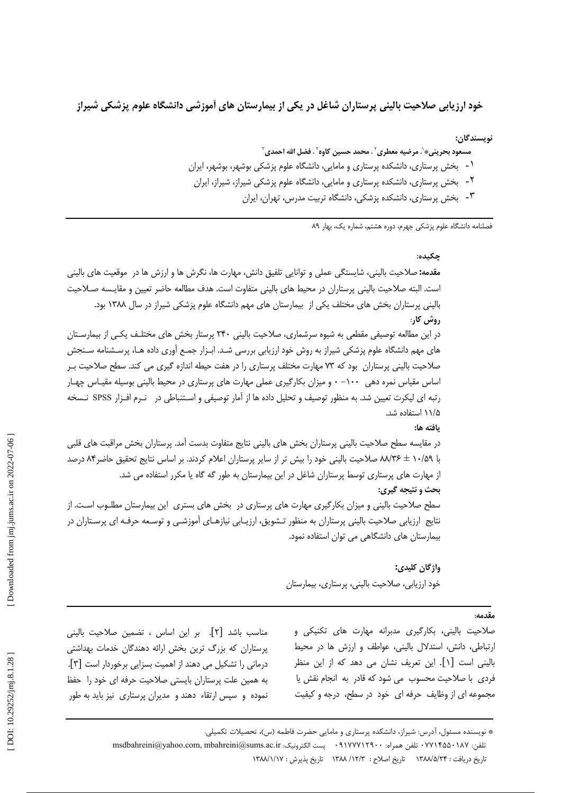خود ارزیابی صلاحیت بالینی پرستاران شاغل در یکی از بیمارستان های آموزشی دانشگاه علوم پزشکی شیراز

نوىسندگان:

- مسعود بحريني\*`، مرضيه معطري``، محمد حسين كاوه``، فضل الله احمدي ّ
- ۱- بخش پرستاری، دانشکده پرستاری و مامایی، دانشگاه علوم پزشکی بوشهر، بوشهر، ایران
	- ۲- بخش پرستاری، دانشکده پرستاری و مامایی، دانشگاه علوم پزشکی شیراز، شیراز، ایران
		- ۳- بخش پرستاری، دانشکده پزشکی، دانشگاه تربیت مدرس، تهران، ایران

فصلنامه دانشگاه علوم پزشکی جهرم، دوره هشتم، شماره یک، بهار ۸۹

چکىدە:

مقدمه: صلاحیت بالینی، شایستگی عملی و توانایی تلفیق دانش، مهارت ها، نگرش ها و ارزش ها در موقعیت های بالینی است. البته صلاحیت بالینی پرستاران در محیط های بالینی متفاوت است. هدف مطالعه حاضر تعیین و مقایـسه صـلاحیت بالینی پرستاران بخش های مختلف یکی از بیمارستان های مهم دانشگاه علوم پزشکی شیراز در سال ۱۳۸۸ بود. ,وش کا,: در این مطالعه توصیفی مقطعی به شیوه سرشماری، صلاحیت بالینی ۲۴۰ پرستار بخش های مختلـف یکـی از بیمارسـتان های مهم دانشگاه علوم پزشکی شیراز به روش خود ارزیابی بررسی شـد. ابـزار جمـع آوری داده هـا، پرسـشنامه سـنجش صلاحیت بالینی پرستاران بود که ۷۳ مهارت مختلف پرستاری را در هفت حیطه اندازه گیری می کند. سطح صلاحیت بـر

اساس مقیاس نمره دهی ۱۰۰– ۰ و میزان بکارگیری عملی مهارت های پرستاری در محیط بالینی بوسیله مقیـاس چهـار رتبه ای لیکرت تعیین شد. به منظور توصیف و تحلیل داده ها از آمار توصیفی و اسـتنباطی در نـرم افـزار SPSS نـسخه ۱۱/۵ استفاده شد.

ىافته ها:

در مقایسه سطح صلاحیت بالینی پرستاران بخش های بالینی نتایج متفاوت بدست آمد. پرستاران بخش مراقبت های قلبی با ۸۰/۵۹ ± ۸۸/۳۶ صلاحیت بالینی خود را بیش تر از سایر پرستاران اعلام کردند. بر اساس نتایج تحقیق حاضر۸۴ درصد از مهارت های پرستاری توسط پرستاران شاغل در این بیمارستان به طور گه گاه یا مکرر استفاده می شد. بحث و نتيجه گيري: سطح صلاحیت بالینی و میزان بکارگیری مهارت های پرستاری در بخش های بستری این بیمارستان مطلـوب اسـت. از نتایج ارزیابی صلاحیت بالینی پرستاران به منظور تـشویق، ارزیـابی نیازهـای آموزشـی و توسـعه حرفـه ای پرسـتاران در بیمارستان های دانشگاهی می توان استفاده نمود.

> واژگان کليدي: خود ارزیابی، صلاحیت بالینی، پرستاری، بیمارستان

> > مقدمه·

صلاحیت بالینی، بکارگیری مدبرانه مهارت های تکنیکی و ارتباطی، دانش، استدلال بالینی، عواطف و ارزش ها در محیط باليني است [١]. اين تعريف نشان مي دهد كه از اين منظر فردی با صلاحیت محسوب می شود که قادر به انجام نقش یا مجموعه ای از وظایف حرفه ای خود در سطح، درجه و کیفیت

مناسب باشد [۲]. بر این اساس ، تضمین صلاحیت بالینی پرستاران که بزرگ ترین بخش ارائه دهندگان خدمات بهداشتی درمانی را تشکیل می دهند از اهمیت بسزایی برخوردار است [۳]. به همین علت پرستاران بایستی صلاحیت حرفه ای خود را حفظ نموده و سپس ارتقاء دهند و مدیران پرستاری نیز باید به طور

> \* نویسنده مسئول، آدرس: شیراز، دانشکده پرستاری و مامایی حضرت فاطمه (س)، تحصیلات تکمیلی. تلفن: ٧٧١٢٤٥٠ تلفن همراه: ٩١٧٧٧١٢٩٠٠ - پست الكترونيك: msdbahreini@yahoo.com, mbahreini@sums.ac.ir تاريخ دريافت : ١٣٨٨/٥/٢۴ \_ تاريخ اصلاح : ١٣/٨/ ١٣٨٨ \_ تاريخ يذيرش : ١٣٨٨/١/١٧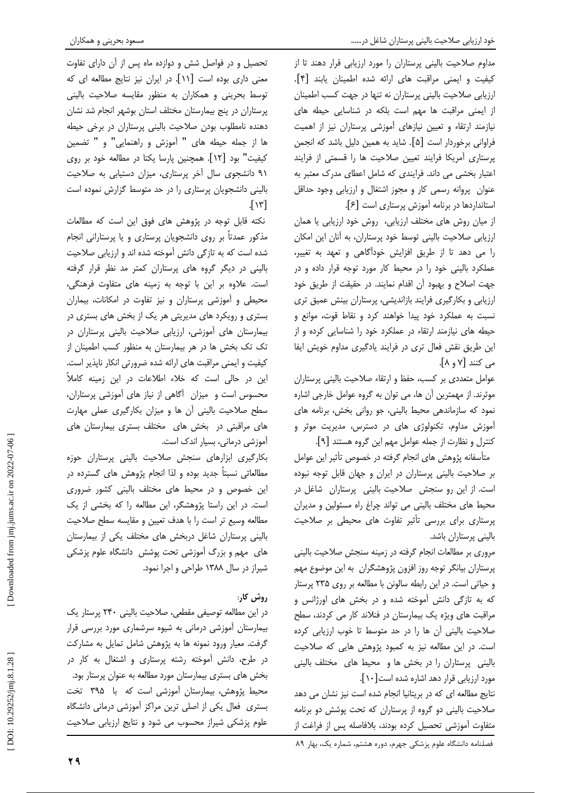مداوم صلاحیت بالینی پرستاران را مورد ارزیابی قرار دهند تا از كيفيت و ايمنى مراقبت هاى ارائه شده اطمينان يابند [۴]. ارزیابی صلاحیت بالینی پرستاران نه تنها در جهت کسب اطمینان از ایمنی مراقبت ها مهم است بلکه در شناسایی حیطه های نیازمند ارتقاء و تعیین نیازهای آموزشی پرستاران نیز از اهمیت فراوانی برخوردار است [۵]. شاید به همین دلیل باشد که انجمن پرستاری آمریکا فرایند تعیین صلاحیت ها را قسمتی از فرایند اعتبار بخشی می داند. فرایندی که شامل اعطای مدرک معتبر به عنوان پروانه رسمی کار و مجوز اشتغال و ارزیابی وجود حداقل استانداردها در برنامه آموزش پرستاری است [۶].

از میان روش های مختلف ارزیابی، روش خود ارزیابی یا همان ارزیابی صلاحیت بالینی توسط خود پرستاران، به آنان این امکان را می دهد تا از طریق افزایش خودآگاهی و تعهد به تغییر، عملکرد بالینی خود را در محیط کار مورد توجه قرار داده و در جهت اصلاح و بهبود آن اقدام نمایند. در حقیقت از طریق خود ارزیابی و بکارگیری فرایند بازاندیشی، پرستاران بینش عمیق تری نسبت به عملکرد خود پیدا خواهند کرد و نقاط قوت، موانع و حیطه های نیازمند ارتقاء در عملکرد خود را شناسایی کرده و از این طریق نقش فعال تری در فرایند یادگیری مداوم خویش ایفا می کنند [۷ و ۸].

عوامل متعددي بر كسب، حفظ و ارتقاء صلاحيت باليني پرستاران موثرند. از مهمترین آن ها، می توان به گروه عوامل خارجی اشاره نمود که سازماندهی محیط بالینی، جو روانی بخش، برنامه های آموزش مداوم، تكنولوژى هاى در دسترس، مديريت موثر و کنترل و نظارت از جمله عوامل مهم این گروه هستند [۹].

متأسفانه پژوهش های انجام گرفته در خصوص تأثیر این عوامل بر صلاحیت بالینی پرستاران در ایران و جهان قابل توجه نبوده است. از این رو سنجش صلاحیت بالینی پرستاران شاغل در محیط های مختلف بالینی می تواند چراغ راه مسئولین و مدیران پرستاری برای بررسی تأثیر تفاوت های محیطی بر صلاحیت بالینی پرستاران باشد.

مروری بر مطالعات انجام گرفته در زمینه سنجش صلاحیت بالینی پرستاران بیانگر توجه روز افزون پژوهشگران به این موضوع مهم و حیاتی است. در این رابطه سالونن با مطالعه بر روی ۲۳۵ پرستار که به تازگی دانش آموخته شده و در بخش های اورژانس و مراقبت های ویژه یک بیمارستان در فنلاند کار می کردند، سطح صلاحیت بالینی آن ها را در حد متوسط تا خوب ارزیابی کرده است. در این مطالعه نیز به کمبود پژوهش هایی که صلاحیت بالینی پرستاران را در بخش ها و محیط های مختلف بالینی مورد ارزیابی قرار دهد اشاره شده است[۱۰].

نتایج مطالعه ای که در بریتانیا انجام شده است نیز نشان می دهد صلاحیت بالینی دو گروه از پرستاران که تحت پوشش دو برنامه متفاوت آموزشی تحصیل کرده بودند، بلافاصله پس از فراغت از

تحصیل و در فواصل شش و دوازده ماه پس از آن دارای تفاوت معنی داری بوده است [۱۱]. در ایران نیز نتایج مطالعه ای که توسط بحرینی و همکاران به منظور مقایسه صلاحیت بالینی پرستاران در پنج بیمارستان مختلف استان بوشهر انجام شد نشان دهنده نامطلوب بودن صلاحیت بالینی پرستاران در برخی حیطه ها از جمله حیطه های " آموزش و راهنمایی" و " تضمین كيفيت" بود [١٢]. همچنين پارسا يكتا در مطالعه خود بر روى ۹۱ دانشجوی سال آخر پرستاری، میزان دستیابی به صلاحیت بالینی دانشجویان پرستاری را در حد متوسط گزارش نموده است  $\lceil \gamma \rceil$ 

نکته قابل توجه در پژوهش های فوق این است که مطالعات مذکور عمدتاً بر روی دانشجویان پرستاری و یا پرستارانی انجام شده است که به تازگی دانش آموخته شده اند و ارزیابی صلاحیت بالینی در دیگر گروه های پرستاران کمتر مد نظر قرار گرفته است. علاوه بر این با توجه به زمینه های متفاوت فرهنگی، محیطی و آموزشی پرستاران و نیز تفاوت در امکانات، بیماران بستری و رویکرد های مدیریتی هر یک از بخش های بستری در بیمارستان های آموزشی، ارزیابی صلاحیت بالینی پرستاران در تک تک بخش ها در هر بیمارستان به منظور کسب اطمینان از كيفيت و ايمني مراقبت هاي ارائه شده ضرورتي انكار ناپذير است. این در حالی است که خلاء اطلاعات در این زمینه کاملاً محسوس است و میزان آگاهی از نیاز های آموزشی پرستاران، سطح صلاحیت بالینی آن ها و میزان بکارگیری عملی مهارت های مراقبتی در بخش های مختلف بستری بیمارستان های آموزشی درمانی، بسیار اندک است.

بكاركيرى ابزارهاى سنجش صلاحيت بالينى پرستاران حوزه مطالعاتی نسبتاً جدید بوده و لذا انجام پژوهش های گسترده در این خصوص و در محیط های مختلف بالینی کشور ضروری است. در این راستا پژوهشگر، این مطالعه را که بخشی از یک مطالعه وسيع تر است را با هدف تعيين و مقايسه سطح صلاحيت بالینی پرستاران شاغل دربخش های مختلف یکی از بیمارستان های مهم و بزرگ آموزشی تحت پوشش دانشگاه علوم پزشکی شیراز در سال ۱۳۸۸ طراحی و اجرا نمود.

# روش کار:

در این مطالعه توصیفی مقطعی، صلاحیت بالینی ۲۴۰ پرستار یک بیمارستان آموزشی درمانی به شیوه سرشماری مورد بررسی قرار گرفت. معیار ورود نمونه ها به پژوهش شامل تمایل به مشارکت در طرح، دانش آموخته رشته پرستاری و اشتغال به کار در بخش های بستری بیمارستان مورد مطالعه به عنوان پرستار بود. محیط پژوهش، بیمارستان آموزشی است که با ۳۹۵ تخت بستری فعال یکی از اصلی ترین مراکز آموزشی درمانی دانشگاه علوم پزشکی شیراز محسوب می شود و نتایج ارزیابی صلاحیت

فصلنامه دانشگاه علوم پزشکی جهرم، دوره هشتم، شماره یک، بهار ۸۹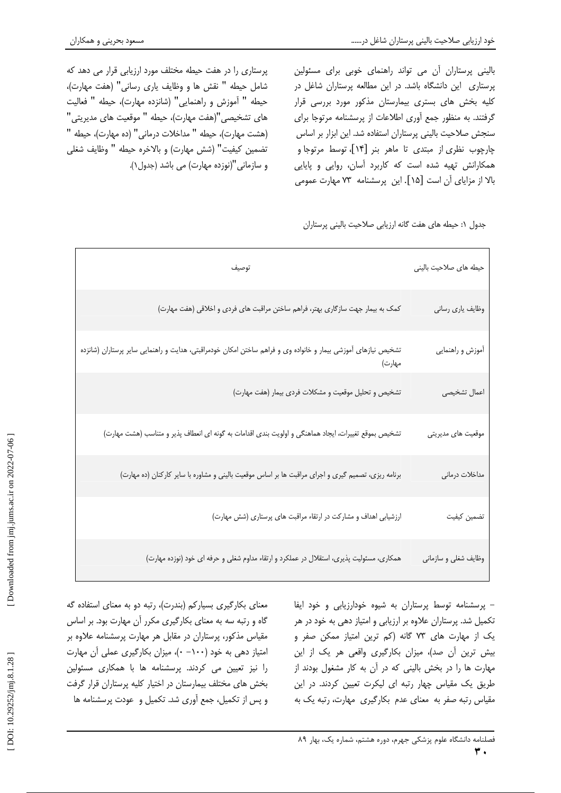پرستاری را در هفت حیطه مختلف مورد ارزیابی قرار می دهد که شامل حيطه " نقش ها و وظايف يارى رسانى" (هفت مهارت)، حيطه " آموزش و راهنمايي" (شانزده مهارت)، حيطه " فعاليت های تشخیصی"(هفت مهارت)، حیطه " موقعیت های مدیریتی" (هشت مهارت)، حيطه " مداخلات درمانى" (ده مهارت)، حيطه " تضمين كيفيت" (شش مهارت) و بالاخره حيطه " وظايف شغلي و سازمانی"(نوزده مهارت) می باشد (جدول۱). بالینی پرستاران آن می تواند راهنمای خوبی برای مسئولین پرستاری این دانشگاه باشد. در این مطالعه پرستاران شاغل در کلیه بخش های بستری بیمارستان مذکور مورد بررسی قرار گرفتند. به منظور جمع أورى اطلاعات از پرسشنامه مرتوجا براى سنجش صلاحیت بالینی پرستاران استفاده شد. این ابزار بر اساس چارچوب نظری از مبتدی تا ماهر بنر [۱۴]، توسط مرتوجا و همکارانش تهیه شده است که کاربرد أسان، روایی و پایایی بالا از مزایای آن است [۱۵]. این پرسشنامه ۷۳ مهارت عمومی

جدول ۱: حیطه های هفت گانه ارزیابی صلاحیت بالینی پرستاران

| توصيف                                                                                                                    | حیطه های صلاحیت بالینی |
|--------------------------------------------------------------------------------------------------------------------------|------------------------|
| کمک به بیمار جهت سازگاری بهتر، فراهم ساختن مراقبت های فردی و اخلاقی (هفت مهارت)                                          | وظايف يارى رسانى       |
| تشخيص نيازهاى آموزشى بيمار و خانواده وى و فراهم ساختن امكان خودمراقبتى، هدايت و راهنمايى ساير پرستاران (شانزده<br>مهارت) | أموزش و راهنمايي       |
| تشخيص و تحليل موقعيت و مشكلات فردى بيمار (هفت مهارت)                                                                     | اعمال تشخیصی           |
| تشخيص بموقع تغييرات، ايجاد هماهنگي و اولويت بندي اقدامات به گونه اي انعطاف پذير و متناسب (هشت مهارت)                     | موقعیت های مدیریتی     |
| برنامه ریزی، تصمیم گیری و اجرای مراقبت ها بر اساس موقعیت بالینی و مشاوره با سایر کارکنان (ده مهارت)                      | مداخلات درماني         |
| ارزشیابی اهداف و مشارکت در ارتقاء مراقبت های پرستاری (شش مهارت)                                                          | تضمين كيفيت            |
| همکاری، مسئولیت پذیری، استقلال در عملکرد و ارتقاء مداوم شغلی و حرفه ای خود (نوزده مهارت)                                 | وظايف شغلي و سازماني   |

- پرسشنامه توسط پرستاران به شیوه خودارزیابی و خود ایفا تکمیل شد. پرستاران علاوه بر ارزیابی و امتیاز دهی به خود در هر یک از مهارت های ۷۳ گانه (کم ترین امتیاز ممکن صفر و بیش ترین آن صد)، میزان بکارگیری واقعی هر یک از این مهارت ها را در بخش بالینی که در آن به کار مشغول بودند از طریق یک مقیاس چهار رتبه ای لیکرت تعیین کردند. در این مقیاس رتبه صفر به معنای عدم بکارگیری مهارت، رتبه یک به

معنای بکارگیری بسیارکم (بندرت)، رتبه دو به معنای استفاده گه گاه و رتبه سه به معنای بکارگیری مکرر آن مهارت بود. بر اساس مقیاس مذکور، پرستاران در مقابل هر مهارت پرسشنامه علاوه بر امتیاز دهی به خود (۱۰۰– ۰)، میزان بکارگیری عملی أن مهارت را نیز تعیین می کردند. پرسشنامه ها با همکاری مسئولین بخش های مختلف بیمارستان در اختیار کلیه پرستاران قرار گرفت و پس از تکمیل، جمع آوری شد. تکمیل و عودت پرسشنامه ها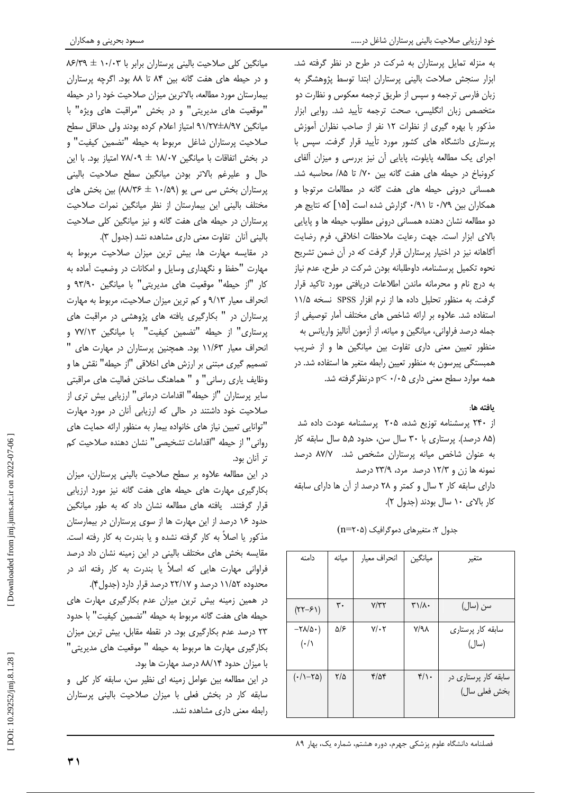به منزله تمایل پرستاران به شرکت در طرح در نظر گرفته شد. ابزار سنجش صلاحت بالينى پرستاران ابتدا توسط پژوهشگر به زبان فارسی ترجمه و سپس از طریق ترجمه معکوس و نظارت دو متخصص زبان انگلیسی، صحت ترجمه تأیید شد. روایی ابزار مذکور با بهره گیری از نظرات ١٢ نفر از صاحب نظران آموزش پرستاری دانشگاه های کشور مورد تأیید قرار گرفت. سپس با اجرای یک مطالعه پایلوت، پایایی آن نیز بررسی و میزان آلفای كرونباخ در حيطه هاى هفت گانه بين ٧٠/ تا ٨۵/ محاسبه شد. همسانی درونی حیطه های هفت گانه در مطالعات مرتوجا و همکاران بین ۰/۷۹ تا ۰/۹۱ گزارش شده است [۱۵] که نتایج هر دو مطالعه نشان دهنده همسانی درونی مطلوب حیطه ها و پایایی بالاى ابزار است. جهت رعايت ملاحظات اخلاقى، فرم رضايت آگاهانه نیز در اختیار پرستاران قرار گرفت که در آن ضمن تشریح نحوه تكميل پرسشنامه، داوطلبانه بودن شركت در طرح، عدم نياز به درج نام و محرمانه ماندن اطلاعات دریافتی مورد تاکید قرار گرفت. به منظور تحلیل داده ها از نرم افزار SPSS نسخه ۱۱/۵ استفاده شد. علاوه بر ارائه شاخص های مختلف آمار توصیفی از جمله درصد فراواني، ميانگين و ميانه، از آزمون آناليز واريانس به منظور تعیین معنی داری تفاوت بین میانگین ها و از ضریب همبستگی پیرسون به منظور تعیین رابطه متغیر ها استفاده شد. در همه موارد سطح معنی داری p → ۰/۰۵ درنظرگرفته شد.

# يافته ها:

از ۲۴۰ پرسشنامه توزیع شده، ۲۰۵ پرسشنامه عودت داده شد (۸۵ درصد). پرستاری با ۳۰ سال سن، حدود ۵٫۵ سال سابقه کار به عنوان شاخص میانه پرستاران مشخص شد. ٨٧/٧ درصد نمونه ها زن و ۱۲/۳ درصد مرد، ۲۳/۹ درصد دارای سابقه کار ۲ سال و کمتر و ۲۸ درصد از آن ها دارای سابقه کار بالای ١٠ سال بودند (جدول ٢).

| جدول ۲: متغیرهای دموگرافیک (n=۲۰۵) |  |
|------------------------------------|--|
|                                    |  |

| دامنه                        | ميانه         | انحراف معيار  | ميانگين                                            | متغير                |
|------------------------------|---------------|---------------|----------------------------------------------------|----------------------|
|                              |               |               |                                                    |                      |
|                              |               |               |                                                    |                      |
| $(YY - 5)$                   | ٣٠            | Y/YY          | $\mathsf{r}\setminus\mathsf{r}\setminus\mathsf{r}$ | سن (سال)             |
| $-Y\Lambda/\Delta$ .)        | ۵۱۶           | $Y/\cdot Y$   | $V/A\lambda$                                       | سابقه کار پرستاری    |
| $(\cdot/\wedge$              |               |               |                                                    | (سال)                |
|                              |               |               |                                                    |                      |
| $(\cdot/\right)-\tau\Delta)$ | $\frac{1}{2}$ | $\frac{8}{4}$ | $f/\iota$                                          | سابقه کار پرستاری در |
|                              |               |               |                                                    | بخش فعلى سال)        |
|                              |               |               |                                                    |                      |

میانگین کلی صلاحیت بالینی پرستاران برابر با ۱۰/۰۳ ± ۸۶/۳۹ و در حیطه های هفت گانه بین ۸۴ تا ۸۸ بود. اگرچه پرستاران بیمارستان مورد مطالعه، بالاترین میزان صلاحیت خود را در حیطه "موقعیت های مدیریتی" و در بخش "مراقبت های ویژه" با میانگین ۹۱/۲۷±۸/۹۷ امتیاز اعلام کرده بودند ولی حداقل سطح صلاحيت پرستاران شاغل مربوط به حيطه "تضمين كيفيت" و در بخش اتفاقات با میانگین ۱۸/۰۷ ± ۷۸/۰۹ امتیاز بود. با این حال و علیرغم بالاتر بودن میانگین سطح صلاحیت بالینی پرستاران بخش سی سی یو (۱۰/۵۹ ± ۸۸/۳۶) بین بخش های مختلف بالینی این بیمارستان از نظر میانگین نمرات صلاحیت یرستاران در حیطه های هفت گانه و نیز میانگین کلی صلاحیت باليني آنان تفاوت معنى دارى مشاهده نشد (جدول ٣).

در مقایسه مهارت ها، بیش ترین میزان صلاحیت مربوط به مهارت "حفظ و نگهداری وسایل و امکانات در وضعیت آماده به کار "از حیطه" موقعیت های مدیریتی" با میانگین ۹۳/۹۰ و انحراف معیار ۹/۱۳ و کم ترین میزان صلاحیت، مربوط به مهارت یرستاران در " بکارگیری یافته های پژوهشی در مراقبت های يرستاري" از حيطه "تضمين كيفيت" با ميانگين ٧٧/١٣ و .<br>انحراف معیار ۱۱/۶۳ بود. همچنین پرستاران در مهارت های <sup>۱</sup> تصميم گيري مبتني بر ارزش هاي اخلاقي "از حيطه" نقش ها و وظايف ياري رساني" و " هماهنگ ساختن فعاليت هاي مراقبتي سایر پرستاران "از حیطه" اقدامات درمانی" ارزیابی بیش تری از صلاحیت خود داشتند در حالی که ارزیابی آنان در مورد مهارت "توانایی تعیین نیاز های خانواده بیمار به منظور ارائه حمایت های رواني" از حيطه "اقدامات تشخيصي" نشان دهنده صلاحيت كم تر آنان بود.

در این مطالعه علاوه بر سطح صلاحیت بالینی پرستاران، میزان بکارگیری مهارت های حیطه های هفت گانه نیز مورد ارزیابی قرار گرفتند. یافته های مطالعه نشان داد که به طور میانگین حدود ۱۶ درصد از این مهارت ها از سوی پرستاران در بیمارستان مذکور یا اصلاً به کار گرفته نشده و یا بندرت به کار رفته است. مقایسه بخش های مختلف بالینی در این زمینه نشان داد درصد فراوانی مهارت هایی که اصلاً یا بندرت به کار رفته اند در محدوده ۱۱/۵۲ درصد و ۲۲/۱۷ درصد قرار دارد (جدول۴).

در همین زمینه بیش ترین میزان عدم بکارگیری مهارت های حيطه هاي هفت گانه مربوط به حيطه "تضمين كيفيت" با حدود ۲۳ درصد عدم بکارگیری بود. در نقطه مقابل، بیش ترین میزان بكارگيرى مهارت ها مربوط به حيطه " موقعيت هاى مديريتى" با میزان حدود ۸۸/۱۴ درصد مهارت ها بود.

در این مطالعه بین عوامل زمینه ای نظیر سن، سابقه کار کلی و سابقه كار در بخش فعلى با ميزان صلاحيت بالينى پرستاران رابطه معنى دارى مشاهده نشد.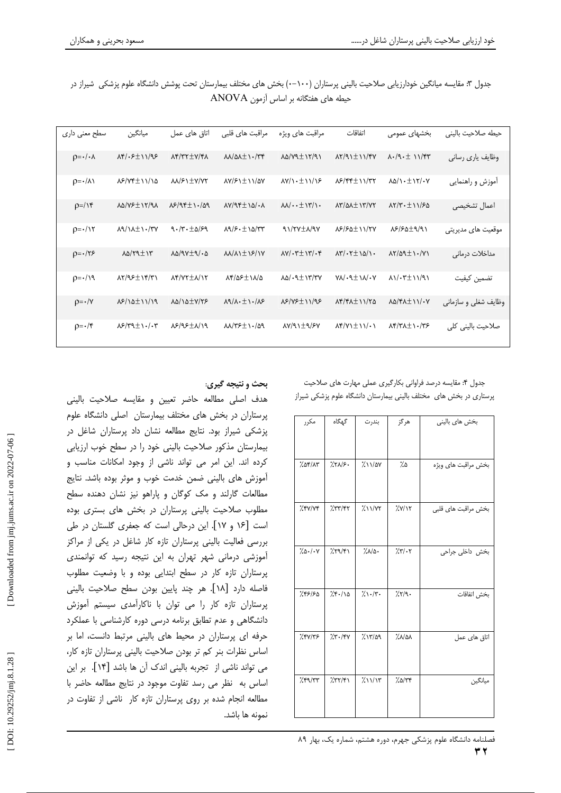| سطح معنی داری               | ميانگين                                         | اتاق ها <i>ی</i> عمل                                | مراقبت های قلبی                                         | مراقبت های ویژه                                    | اتفاقات                                                              | بخشهای عمومی                                                                                                     | حيطه صلاحيت بالينى   |
|-----------------------------|-------------------------------------------------|-----------------------------------------------------|---------------------------------------------------------|----------------------------------------------------|----------------------------------------------------------------------|------------------------------------------------------------------------------------------------------------------|----------------------|
| $p = \cdot / \cdot \lambda$ | $\lambda$ ۴/۰۶ $\pm$ ۱۱/9۶                      | $\lambda$ $\gamma$ $\gamma$ $\pm$ $\gamma$ $\gamma$ | $MN/\Delta\lambda \pm 1.779$                            | $\lambda \Delta / \nu$ 91/91                       | $\lambda Y/91 \pm 11/5Y$                                             | $\lambda \cdot /9 \cdot \pm 11$                                                                                  | وظایف یاری رسانی     |
| $p = \cdot / \lambda$       | NS/VF±11/10                                     | <b>AA/SI TY/VY</b>                                  | $\frac{\lambda V}{\mathcal{F}}\frac{1}{\pm}$ 11/2Y      | $\lambda V/\lambda \cdot \pm \lambda \sqrt{25}$    | $\lambda$ ۶/۴۴ $\pm$ ۱۱/۳۲                                           | $\lambda \Delta / \lambda \cdot \pm \lambda \gamma / \cdot \gamma$                                               | أموزش و راهنمايي     |
| $p=/\gamma$                 | $\lambda \Delta / \nu \epsilon \pm 17/9\lambda$ | $\lambda$ 2/94+1./09                                | $\lambda V/95 \pm 10/3$                                 | $M/\cdot \pm 17/\cdot$                             | <b>AY/QAINY/YY</b>                                                   | $\lambda Y/Y \cdot \pm 11/50$                                                                                    | اعمال تشخيصى         |
| $p = \cdot / \gamma$        | $\lambda$ 9/1 $\lambda$ <sup>+</sup> 1./٣٧      | $9.7 - 10.59$                                       | $\lambda$ 9/۶۰ $\pm$ ۱۵/۳۳                              | $91/7Y \pm \lambda/9Y$                             | $N^2/50 \pm 11/7V$                                                   | $\lambda$ ۶/۶۵±۹/۹۱                                                                                              | موقعیت های مدیریتی   |
| $p = \cdot 75$              | $\lambda \Delta / \gamma$ 911                   | $\lambda \Delta / 9 \gamma \pm 9 / 6$               | $M/M$ $\pm$ $5/1$ Y                                     | $\lambda V/\cdot \tau \pm \lambda \tau/\cdot \tau$ | $\lambda \mathbf{y}/\cdot \mathbf{y}$ $\pm \lambda \Delta/\lambda$ . | $\lambda Y/\Delta 9 \pm 1.7$                                                                                     | مداخلات درمانى       |
| $p = \cdot / \sqrt{9}$      | $\lambda Y/95 \pm 18/71$                        | <b>AF/VY ±A/IY</b>                                  | $\lambda f/\Delta f \pm \lambda/\Delta$                 | $\lambda \Delta / \cdot 9 \pm 17/77$               | $V \Lambda / \cdot 9 \pm 1 \Lambda / \cdot V$                        | $\lambda$ 1/ $\cdot$ ۳ $\pm$ 11/91                                                                               | تضمين كيفيت          |
| $p = \cdot / Y$             | $\lambda$ ۶/10±11/19                            | $\lambda \Delta / \lambda \Delta \pm V / \nabla$    | $\lambda$ 9/ $\lambda$ · $\pm$ $\lambda$ ·/ $\lambda$ ۶ | $N^5/N^5\pm11/95$                                  | $\lambda f/f\lambda \pm 11/70$                                       | $\lambda \Delta / \mathcal{F} \lambda \pm 11 / \cdot V$                                                          | وظايف شغلي و سازماني |
| $p = \cdot / \mathfrak{r}$  | $\lambda$ ۶/۳۹ $\pm$ ۱۰/۰۳                      | $\lambda$ ۶/۹۶ $\pm \lambda$ /۱۹                    | $MN/75 \pm 1.709$                                       | $\lambda Y$ /9 $\pm$ 9/۶ $Y$                       | $\Lambda f/Y\rightarrow \pm \Lambda V \cdot V$                       | $\lambda$ $\uparrow$ $\uparrow$ $\uparrow$ $\downarrow$ $\downarrow$ $\uparrow$ $\uparrow$ $\uparrow$ $\uparrow$ | صلاحیت بالینی کلی    |

جدول ۳: مقایسه میانگین خودارزیابی صلاحیت بالینی پرستاران (۱۰۰–۰) بخش های مختلف بیمارستان تحت پوشش دانشگاه علوم پزشکی شیراز در حیطه های هفتگانه بر اساس آزمون ANOVA

جدول ۴: مقایسه درصد فراوانی بکارگیری عملی مهارت های صلاحیت پرستاری در بخش های مختلف بالینی بیمارستان دانشگاه علوم پزشکی شیراز

| مكرر                        | گهگاه                              | بندرت                                    | هرگز             | بخش های بالینی      |
|-----------------------------|------------------------------------|------------------------------------------|------------------|---------------------|
| 7.08/18                     | $\frac{1}{2} \nabla\Lambda ^{2}$ . | $\frac{1}{2}$ ) $\sqrt{\Delta V}$        | ۵٪               | بخش مراقبت هاى ويژه |
| XY/Yf                       | 757/88                             | $\frac{2}{\sqrt{2}}$                     | XY/Y             | بخش مراقبت های قلبی |
| 7.0.1.4                     | 759/81                             | $7.10 -$                                 | $7.77 - 7$       | بخش داخلی جراحی     |
| 7.49/50                     | 75.10                              | $\frac{1}{2} \left( \frac{1}{2} \right)$ | 7.5/9.           | بخش اتفاقات         |
| <b>XYY/TS</b>               | 7.7.79                             | 7.17/09                                  | $X$ $N$ $\Delta$ | اتاق های عمل        |
| $\frac{1}{2}$ $\frac{1}{2}$ | 757/81                             | 211/15                                   | 7.078            | ميانگين             |

# بحث و نتیجه گیری:

هدف اصلی مطالعه حاضر تعیین و مقایسه صلاحیت بالینی پرستاران در بخش های مختلف بیمارستان اصلی دانشگاه علوم پزشکی شیراز بود. نتایج مطالعه نشان داد پرستاران شاغل در بیمارستان مذکور صلاحیت بالینی خود را در سطح خوب ارزیابی کرده اند. این امر می تواند ناشی از وجود امکانات مناسب و آموزش های بالینی ضمن خدمت خوب و موثر بوده باشد. نتایج مطالعات گارلند و مک کوگان و پاراهو نیز نشان دهنده سطح مطلوب صلاحیت بالینی پرستاران در بخش های بستری بوده است [۱۶ و ۱۷]. این درحالی است که جعفری گلستان در طی بررسی فعالیت بالینی پرستاران تازه کار شاغل در یکی از مراکز آموزشی درمانی شهر تهران به این نتیجه رسید که توانمندی یرستاران تازه کار در سطح ابتدایی بوده و با وضعیت مطلوب فاصله دارد [١٨]. هر چند پایین بودن سطح صلاحیت بالینی یرستاران تازه کار را می توان با ناکارآمدی سیستم آموزش دانشگاهی و عدم تطابق برنامه درسی دوره کارشناسی با عملکرد حرفه ای پرستاران در محیط های بالینی مرتبط دانست، اما بر اساس نظرات بنر کم تر بودن صلاحیت بالینی پرستاران تازه کار، می تواند ناشی از تجربه بالینی اندک آن ها باشد [۱۴]. بر این اساس به نظر می رسد تفاوت موجود در نتایج مطالعه حاضر با مطالعه انجام شده بر روی پرستاران تازه کار ناشی از تفاوت در نمونه ها باشد.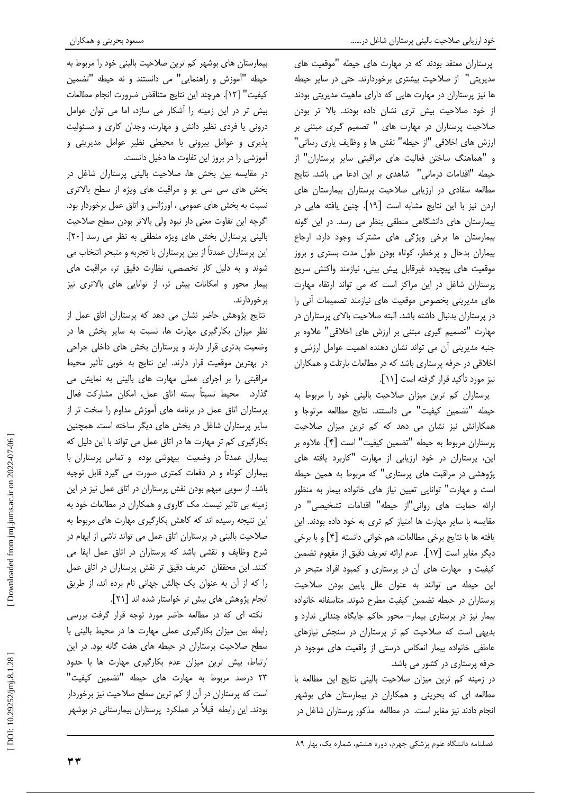پرستاران معتقد بودند که در مهارت های حیطه "موقعیت های مدیریتی" از صلاحیت بیشتری برخوردارند. حتی در سایر حیطه ها نیز پرستاران در مهارت هایی که دارای ماهیت مدیریتی بودند از خود صلاحیت بیش تری نشان داده بودند. بالا تر بودن صلاحیت پرستاران در مهارت های " تصمیم گیری مبتنی بر ارزش های اخلاقی "از حیطه" نقش ها و وظایف یاری رسانی" و "هماهنگ ساختن فعالیت های مراقبتی سایر پرستاران" از حيطه "اقدامات درماني" شاهدي بر اين ادعا مي باشد. نتايج مطالعه سفادی در ارزیابی صلاحیت پرستاران بیمارستان های اردن نيز با اين نتايج مشابه است [١٩]. چنين يافته هايي در بیمارستان های دانشگاهی منطقی بنظر می رسد. در این گونه بیمارستان ها برخی ویژگی های مشترک وجود دارد. ارجاع بیماران بدحال و پرخطر، کوتاه بودن طول مدت بستری و بروز موقعیت های پیچیده غیرقابل پیش بینی، نیازمند واکنش سریع پرستاران شاغل در این مراکز است که می تواند ارتقاء مهارت های مدیریتی بخصوص موقعیت های نیازمند تصمیمات آنی را در پرستاران بدنبال داشته باشد. البته صلاحیت بالای پرستاران در مهارت "تصمیم گیری مبتنی بر ارزش های اخلاقی" علاوه بر جنبه مدیریتی آن می تواند نشان دهنده اهمیت عوامل ارزشی و اخلاقی در حرفه پرستاری باشد که در مطالعات بارتلت و همکاران نیز مورد تأکید قرار گرفته است [۱۱].

پرستاران کم ترین میزان صلاحیت بالینی خود را مربوط به حيطه "تضمين كيفيت" مي دانستند. نتايج مطالعه مرتوجا و همکارانش نیز نشان می دهد که کم ترین میزان صلاحیت پرستاران مربوط به حيطه "تضمين كيفيت" است [۴]. علاوه بر این، پرستاران در خود ارزیابی از مهارت "کاربرد یافته های پژوهشی در مراقبت های پرستاری" که مربوط به همین حیطه است و مهارت" توانایی تعیین نیاز های خانواده بیمار به منظور ارائه حمايت هاى روانى"از حيطه" اقدامات تشخيصى" در مقایسه با سایر مهارت ها امتیاز کم تری به خود داده بودند. این يافته ها با نتايج برخي مطالعات، هم خواني دانسته [۴] و با برخي ديگر مغاير است [١٧]. عدم ارائه تعريف دقيق از مفهوم تضمين کیفیت و مهارت های آن در پرستاری و کمبود افراد متبحر در این حیطه می توانند به عنوان علل پایین بودن صلاحیت پرستاران در حیطه تضمین کیفیت مطرح شوند. متاسفانه خانواده بیمار نیز در پرستاری بیمار- محور حاکم جایگاه چندانی ندارد و بدیهی است که صلاحیت کم تر پرستاران در سنجش نیازهای عاطفی خانواده بیمار انعکاس درستی از واقعیت های موجود در حرفه پرستاری در کشور می باشد.

در زمینه کم ترین میزان صلاحیت بالینی نتایج این مطالعه با مطالعه ای که بحرینی و همکاران در بیمارستان های بوشهر انجام دادند نیز مغایر است. در مطالعه مذکور پرستاران شاغل در

بیمارستان های بوشهر کم ترین صلاحیت بالینی خود را مربوط به حيطه "آموزش و راهنمايي" مي دانستند و نه حيطه "تضمين كيفيت" [١٢]. هرچند اين نتايج متناقض ضرورت انجام مطالعات بیش تر در این زمینه را آشکار می سازد، اما می توان عوامل درونی یا فردی نظیر دانش و مهارت، وجدان کاری و مسئولیت پذیری و عوامل بیرونی یا محیطی نظیر عوامل مدیریتی و آموزشی را در بروز این تفاوت ها دخیل دانست.

در مقایسه بین بخش ها، صلاحیت بالینی پرستاران شاغل در بخش های سی سی یو و مراقبت های ویژه از سطح بالاتری نسبت به بخش های عمومی ، اورژانس و اتاق عمل برخوردار بود. اگرچه این تفاوت معنی دار نبود ولی بالاتر بودن سطح صلاحیت بالینی پرستاران بخش های ویژه منطقی به نظر می رسد [۲۰]. این پرستاران عمدتاً از بین پرستاران با تجربه و متبحر انتخاب می شوند و به دلیل کار تخصصی، نظارت دقیق تر، مراقبت های بیمار محور و امکانات بیش تر، از توانایی های بالاتری نیز بر خور دارند.

نتایج پژوهش حاضر نشان می دهد که پرستاران اتاق عمل از نظر میزان بکارگیری مهارت ها، نسبت به سایر بخش ها در وضعیت بدتری قرار دارند و پرستاران بخش های داخلی جراحی در بهترین موقعیت قرار دارند. این نتایج به خوبی تأثیر محیط مراقبتی را بر اجرای عملی مهارت های بالینی به نمایش می گذارد. محیط نسبتاً بسته اتاق عمل، امکان مشارکت فعال پرستاران اتاق عمل در برنامه های آموزش مداوم را سخت تر از سایر پرستاران شاغل در بخش های دیگر ساخته است. همچنین بکارگیری کم تر مهارت ها در اتاق عمل می تواند با این دلیل که بیماران عمدتاً در وضعیت بیهوشی بوده و تماس پرستاران با بیماران کوتاه و در دفعات کمتری صورت می گیرد قابل توجیه باشد. از سویی مبهم بودن نقش پرستاران در اتاق عمل نیز در این زمینه بی تاثیر نیست. مک گاروی و همکاران در مطالعات خود به این نتیجه رسیده اند که کاهش بکارگیری مهارت های مربوط به صلاحیت بالینی در پرستاران اتاق عمل می تواند ناشی از ابهام در شرح وظایف و نقشی باشد که پرستاران در اتاق عمل ایفا می کنند. این محققان تعریف دقیق تر نقش پرستاران در اتاق عمل را که از آن به عنوان یک چالش جهانی نام برده اند، از طریق انجام پژوهش های بیش تر خواستار شده اند [۲۱].

نکته ای که در مطالعه حاضر مورد توجه قرار گرفت بررسی رابطه بین میزان بکارگیری عملی مهارت ها در محیط بالینی با سطح صلاحیت پرستاران در حیطه های هفت گانه بود. در این ارتباط، بیش ترین میزان عدم بکارگیری مهارت ها با حدود ٢٣ درصد مربوط به مهارت های حیطه "تضمین کیفیت" است که پرستاران در آن از کم ترین سطح صلاحیت نیز برخوردار بودند. این رابطه قبلاً در عملکرد پرستاران بیمارستانی در بوشهر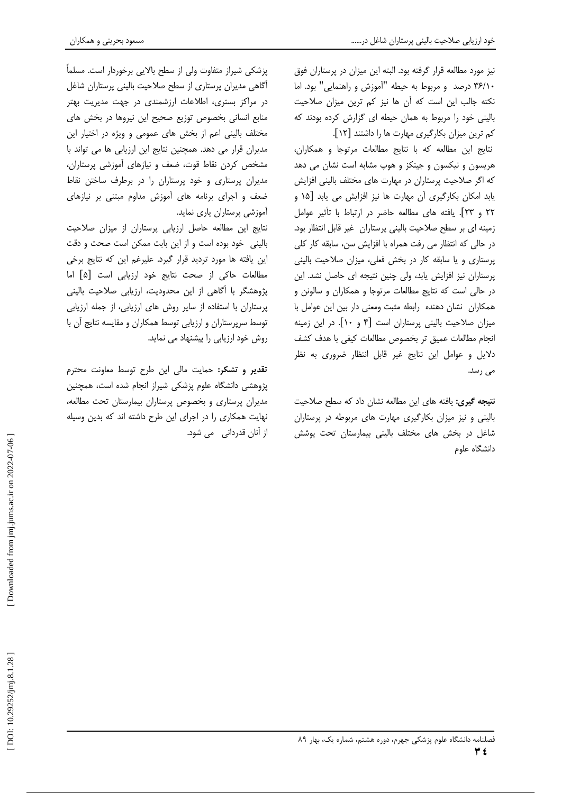نیز مورد مطالعه قرار گرفته بود. البته این میزان در پرستاران فوق ۳۶/۱۰ درصد و مربوط به حیطه "آموزش و راهنمایی" بود. اما نكته جالب اين است كه آن ها نيز كم ترين ميزان صلاحيت بالینی خود را مربوط به همان حیطه ای گزارش کرده بودند که كم ترين ميزان بكاركيري مهارت ها را داشتند [١٢].

نتايج اين مطالعه كه با نتايج مطالعات مرتوجا و همكاران، هریسون و نیکسون و جینکز و هوپ مشابه است نشان می دهد که اگر صلاحیت پرستاران در مهارت های مختلف بالینی افزایش یابد امکان بکارگیری آن مهارت ها نیز افزایش می یابد [۱۵ و ٢٢ و ٢٣]. يافته هاى مطالعه حاضر در ارتباط با تأثير عوامل زمینه ای بر سطح صلاحیت بالینی پرستاران غیر قابل انتظار بود. در حالی که انتظار می رفت همراه با افزایش سن، سابقه کار کلی پرستاری و یا سابقه کار در بخش فعلی، میزان صلاحیت بالینی پرستاران نیز افزایش یابد، ولی چنین نتیجه ای حاصل نشد. این در حالي است كه نتايج مطالعات مرتوجا و همكاران و سالونن و همكاران نشان دهنده رابطه مثبت ومعنى دار بين اين عوامل با میزان صلاحیت بالینی پرستاران است [۴ و ۱۰]. در این زمینه انجام مطالعات عميق تر بخصوص مطالعات كيفي با هدف كشف دلایل و عوامل این نتایج غیر قابل انتظار ضروری به نظر می رسد.

نتیجه گیری: یافته های این مطالعه نشان داد که سطح صلاحیت بالینی و نیز میزان بکارگیری مهارت های مربوطه در پرستاران شاغل در بخش های مختلف بالینی بیمارستان تحت پوشش دانشگاه علوم

یزشکی شیراز متفاوت ولی از سطح بالایی برخوردار است. مسلماً أگاهی مدیران پرستاری از سطح صلاحیت بالینی پرستاران شاغل در مراکز بستری، اطلاعات ارزشمندی در جهت مدیریت بهتر منابع انسانی بخصوص توزیع صحیح این نیروها در بخش های مختلف بالینی اعم از بخش های عمومی و ویژه در اختیار این مدیران قرار می دهد. همچنین نتایج این ارزیابی ها می تواند با مشخص کردن نقاط قوت، ضعف و نیازهای آموزشی پرستاران، مدیران پرستاری و خود پرستاران را در برطرف ساختن نقاط ضعف و اجرای برنامه های آموزش مداوم مبتنی بر نیازهای آموزشی پرستاران پاری نماید.

نتايج اين مطالعه حاصل ارزيابي پرستاران از ميزان صلاحيت بالینی خود بوده است و از این بابت ممکن است صحت و دقت این یافته ها مورد تردید قرار گیرد. علیرغم این که نتایج برخی مطالعات حاکی از صحت نتایج خود ارزیابی است [۵] اما پژوهشگر با آگاهی از این محدودیت، ارزیابی صلاحیت بالینی پرستاران با استفاده از سایر روش های ارزیابی، از جمله ارزیابی توسط سرپرستاران و ارزیابی توسط همکاران و مقایسه نتایج آن با روش خود ارزیابی را پیشنهاد می نماید.

تقدیر و تشکر: حمایت مالی این طرح توسط معاونت محترم پژوهشی دانشگاه علوم پزشکی شیراز انجام شده است، همچنین مدیران پرستاری و بخصوص پرستاران بیمارستان تحت مطالعه، نهایت همکاری را در اجرای این طرح داشته اند که بدین وسیله از آنان قدردانی می شود.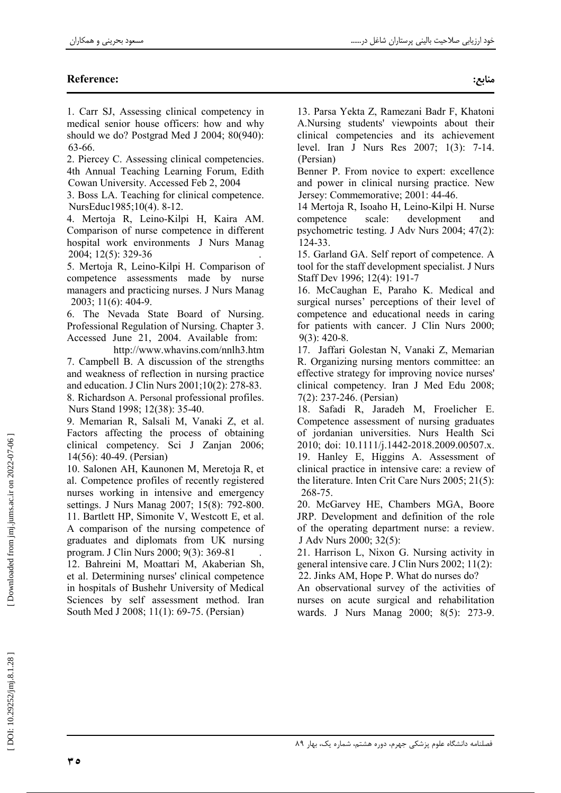# **Reference:**

1. Carr SJ, Assessing clinical competency in medical senior house officers: how and why should we do? Postgrad Med J 2004; 80(940): 63-66.

2. Piercey C. Assessing clinical competencies. 4th Annual Teaching Learning Forum, Edith Cowan University. Accessed Feb 2, 2004

3. Boss LA. Teaching for clinical competence. NursEduc1985;10(4). 8-12.

4. Mertoja R, Leino-Kilpi H, Kaira AM. Comparison of nurse competence in different hospital work environments J Nurs Manag 2004; 12(5): 329-36

5. Mertoja R, Leino-Kilpi H. Comparison of competence assessments made by nurse managers and practicing nurses. J Nurs Manag 2003; 11(6): 404-9.

6. The Nevada State Board of Nursing. Professional Regulation of Nursing. Chapter 3. Accessed June 21, 2004. Available from:

http://www.whavins.com/nnlh3.htm 7. Campbell B. A discussion of the strengths and weakness of reflection in nursing practice and education. J Clin Nurs 2001;10(2): 278-83. 8. Richardson A. Personal professional profiles. Nurs Stand 1998; 12(38): 35-40.

9. Memarian R, Salsali M, Vanaki Z, et al. Factors affecting the process of obtaining clinical competency. Sci J Zanjan 2006; 14(56): 40-49. (Persian)

10. Salonen AH, Kaunonen M, Meretoja R, et al. Competence profiles of recently registered nurses working in intensive and emergency settings. J Nurs Manag 2007; 15(8): 792-800. 11. Bartlett HP, Simonite V, Westcott E, et al.

A comparison of the nursing competence of graduates and diplomats from UK nursing program. J Clin Nurs 2000; 9(3): 369-81

12. Bahreini M, Moattari M, Akaberian Sh, et al. Determining nurses' clinical competence in hospitals of Bushehr University of Medical Sciences by self assessment method. Iran South Med J 2008; 11(1): 69-75. (Persian)

13. Parsa Yekta Z, Ramezani Badr F, Khatoni A.Nursing students' viewpoints about their clinical competencies and its achievement level. Iran J Nurs Res 2007; 1(3): 7-14. (Persian)

Benner P. From novice to expert: excellence and power in clinical nursing practice. New Jersey: Commemorative; 2001: 44-46.

14 Mertoja R, Isoaho H, Leino-Kilpi H. Nurse competence scale: development and psychometric testing. J Adv Nurs 2004; 47(2): 124-33.

15. Garland GA. Self report of competence. A tool for the staff development specialist. J Nurs Staff Dev 1996; 12(4): 191-7

16. McCaughan E, Paraho K. Medical and surgical nurses' perceptions of their level of competence and educational needs in caring for patients with cancer. J Clin Nurs 2000;  $9(3)$ : 420-8.

17. Jaffari Golestan N, Vanaki Z, Memarian R. Organizing nursing mentors committee: an effective strategy for improving novice nurses' clinical competency. Iran J Med Edu 2008;  $7(2)$ : 237-246. (Persian)

18. Safadi R, Jaradeh M, Froelicher E. Competence assessment of nursing graduates of jordanian universities. Nurs Health Sci 2010; doi: 10.1111/j.1442-2018.2009.00507.x. 19. Hanley E, Higgins A. Assessment of clinical practice in intensive care: a review of the literature. Inten Crit Care Nurs  $2005$ ;  $21(5)$ : 268-75.

20. McGarvey HE, Chambers MGA, Boore JRP. Development and definition of the role of the operating department nurse: a review. J Adv Nurs 2000; 32(5):

21. Harrison L, Nixon G. Nursing activity in general intensive care. J Clin Nurs 2002; 11(2): 22. Jinks AM, Hope P. What do nurses do?

An observational survey of the activities of nurses on acute surgical and rehabilitation wards. J Nurs Manag 2000; 8(5): 273-9.

Downloaded from jmj.jums.ac.ir on 2022-07-06